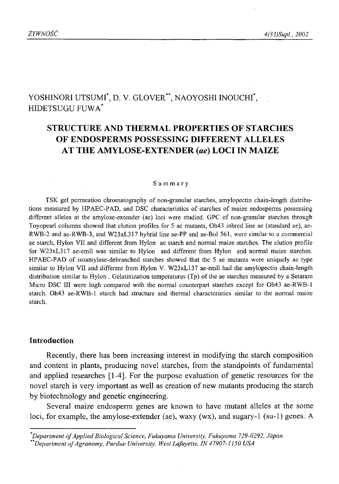# YOSHINORI UTSUMI<sup>\*</sup>, D. V. GLOVER<sup>\*\*</sup>, NAOYOSHI INOUCHI<sup>\*</sup>, HIDETSUGU FU W A\*

# **STRUCTURE AND THERMAL PROPERTIES OF STARCHES OF ENDOSPERMS POSSESSING DIFFERENT ALLELES AT THE AMYLOSE-EXTENDER** *(ae)* **LOCI IN MAIZE**

#### **Summary**

TSK gel permeation chromatography of non-granular starches, amylopectin chain-length distributions measured by HPAEC-PAD, and DSC characteristics of starches of maize endosperms possessing different alleles at the amylose-extender (ae) loci were studied. GPC of non-granular starches through Toyopearl columns showed that elution profiles for 5 ae mutants, Oh43 inbred line ae (standard ae), ae-RWB-2 and ae-RWB-3, and W23xL317 hybrid line ae-PP and ae-Bol 561, were similar to a commercial ae starch, Hylon VII and different from Hylon ae starch and normal maize starches. The elution profile for W23xL317 ae-emll was similar to Hylon and different from Hylon and normal maize starches. HPAEC-PAD of isoamylase-debranched starches showed that the 5 ae mutants were uniquely ae type similar to Hylon VII and different from Hylon V. W23xL137 ae-emll had the amylopectin chain-length distribution similar to Hylon . Gelatinization temperatures (Tp) of the ae starches measured by a Setaram Micro DSC III were high compared with the normal counterpart starches except for Oh43 ae-RWB-1 starch. Oh43 ae-RWB-1 starch had structure and thermal characteristics similar to the normal maize starch.

# **Introduction**

Recently, there has been increasing interest in modifying the starch composition and content in plants, producing novel starches, from the standpoints of fundamental and applied researches [1-4]. For the purpose evaluation of genetic resources for the novel starch is very important as well as creation of new mutants producing the starch by biotechnology and genetic engineering.

Several maize endosperm genes are known to have mutant alleles at the some loci, for example, the amylose-extender (ae), waxy (wx), and sugary-1 (su-1) genes. A

*Department o f Applied Biological Science, Fukuyama University, Fukuyama 729-0292, Japan*

*Department o f Agronomy, Purdue University, West Lafayette, IN 47907-1150 USA*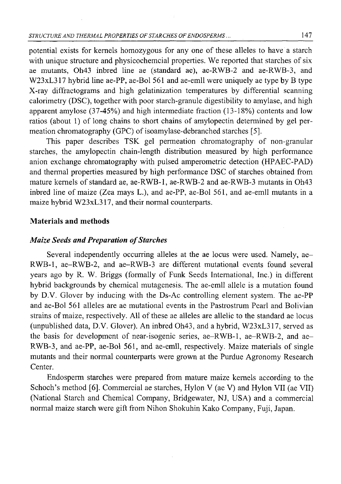potential exists for kernels homozygous for any one of these alleles to have a starch with unique structure and physicochemcial properties. We reported that starches of six ae mutants, Oh43 inbred line ae (standard ae), ae-RWB-2 and ae-RWB-3, and W23xL317 hybrid line ae-PP, ae-Bol 561 and ae-emll were uniquely ae type by B type X-ray diffractograms and high gelatinization temperatures by differential scanning calorimetry (DSC), together with poor starch-granule digestibility to amylase, and high apparent amylose (37-45%) and high intermediate fraction (13-18%) contents and low ratios (about 1) of long chains to short chains of amylopectin determined by gel permeation chromatography (GPC) of isoamylase-debranched starches [5].

This paper describes TSK gel permeation chromatography of non-granular starches, the amylopectin chain-length distribution measured by high performance anion exchange chromatography with pulsed amperometric detection (HPAEC-PAD) and thermal properties measured by high performance DSC of starches obtained from mature kernels of standard ae, ae-RWB-1, ae-RWB-2 and ae-RWB-3 mutants in Oh43 inbred line of maize (Zea mays L.), and ae-PP, ae-Bol 561, and ae-emll mutants in a maize hybrid W23xL317, and their normal counterparts.

# **Materials and methods**

### *Maize Seeds and Preparation of Starches*

Several independently occurring alleles at the ae locus were used. Namely, ae-RWB-1, ae-RWB-2, and ae-RWB-3 are different mutational events found several years ago by R. W. Briggs (formally of Funk Seeds International, Inc.) in different hybrid backgrounds by chemical mutagenesis. The ae-emll allele is a mutation found by D.V. Glover by inducing with the Ds-Ac controlling element system. The ae-PP and ae-Bol 561 alleles are ae mutational events in the Pastrostrum Pearl and Bolivian strains of maize, respectively. All of these ae alleles are allelic to the standard ae locus (unpublished data, D.V. Glover). An inbred Oh43, and a hybrid, W23xL317, served as the basis for development of near-isogenic series, ae-RWB-1, ae-RWB-2, and ae-RWB-3, and ae-PP, ae-Bol 561, and ae-emll, respectively. Maize materials of single mutants and their normal counterparts were grown at the Purdue Agronomy Research Center.

Endosperm starches were prepared from mature maize kernels according to the Schoch's method [6]. Commercial ae starches, Hylon V (ae V) and Hylon VII (ae VII) (National Starch and Chemical Company, Bridgewater, NJ, USA) and a commercial normal maize starch were gift from Nihon Shokuhin Kako Company, Fuji, Japan.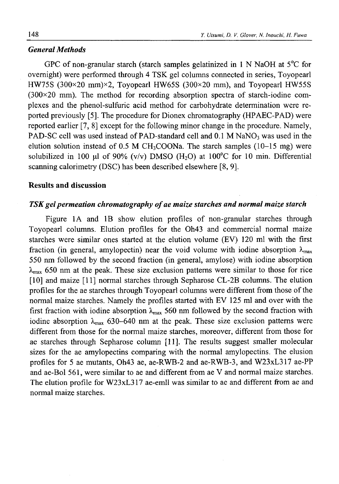# *General Methods*

GPC of non-granular starch (starch samples gelatinized in 1 N NaOH at  $5^{\circ}$ C for overnight) were performed through 4 TSK gel columns connected in series, Toyopearl HW75S (300 $\times$ 20 mm) $\times$ 2, Toyopearl HW65S (300 $\times$ 20 mm), and Toyopearl HW55S  $(300\times20)$  mm). The method for recording absorption spectra of starch-iodine complexes and the phenol-sulfuric acid method for carbohydrate determination were reported previously [5]. The procedure for Dionex chromatography (HPAEC-PAD) were reported earlier [7, 8] except for the following minor change in the procedure. Namely, PAD-SC cell was used instead of PAD-standard cell and  $0.1$  M NaNO<sub>3</sub> was used in the elution solution instead of 0.5 M CH<sub>3</sub>COONa. The starch samples  $(10-15 \text{ mg})$  were solubilized in 100  $\mu$ l of 90% (v/v) DMSO (H<sub>2</sub>O) at 100°C for 10 min. Differential scanning calorimetry (DSC) has been described elsewhere [8, 9].

# **Results and discussion**

# *TSK gel permeation chromatography of ae maize starches and normal maize starch*

Figure 1A and IB show elution profiles of non-granular starches through Toyopearl columns. Elution profiles for the Oh43 and commercial normal maize starches were similar ones started at the elution volume (EV) 120 ml with the first fraction (in general, amylopectin) near the void volume with iodine absorption  $\lambda_{\text{max}}$ 550 nm followed by the second fraction (in general, amylose) with iodine absorption  $\lambda_{\text{max}}$  650 nm at the peak. These size exclusion patterns were similar to those for rice [10] and maize [11] normal starches through Sepharose CL-2B columns. The elution profiles for the ae starches through Toyopearl columns were different from those of the normal maize starches. Namely the profiles started with EV 125 ml and over with the first fraction with iodine absorption  $\lambda_{\text{max}}$  560 nm followed by the second fraction with iodine absorption  $\lambda_{\text{max}}$  630-640 nm at the peak. These size exclusion patterns were different from those for the normal maize starches, moreover, different from those for ae starches through Sepharose column [11]. The results suggest smaller molecular sizes for the ae amylopectins comparing with the normal amylopectins. The elusion profiles for 5 ae mutants, Oh43 ae, ae-RWB-2 and ae-RWB-3, and W23xL317 ae-PP and ae-Bol 561, were similar to ae and different from ae V and normal maize starches. The elution profile for W23xL317 ae-emll was similar to ae and different from ae and normal maize starches.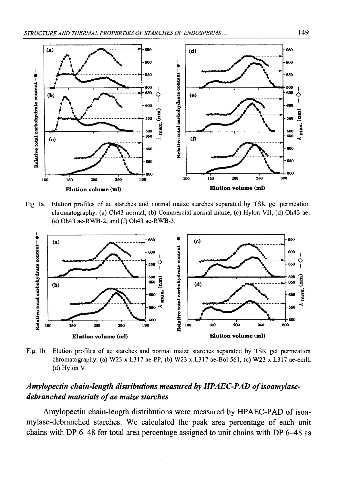

Fig. la. Elution profiles of ae starches and normal maize starches separated by TSK gel permeation chromatography: (a) Oh43 normal, (b) Commercial normal maize, (c) Hylon VII, (d) Oh43 ae, (e) Oh43 ae-RWB-2, and (f) Oh43 ae-RWB-3.



Fig. lb. Elution profiles of ae starches and normal maize starches separated by TSK gel permeation chromatography: (a) W23 x L317 ae-PP, (b) W23 x L317 ae-Bol 561, (c) W23 x L317 ae-emll, (d) Hylon V.

# *Amylopectin chain-length distributions measured by HPAEC-PAD of isoamylasedebranched materials of ae maize starches*

Amylopectin chain-length distributions were measured by HPAEC-PAD of isoamylase-debranched starches. We calculated the peak area percentage of each unit chains with DP 6-48 for total area percentage assigned to unit chains with DP 6-48 as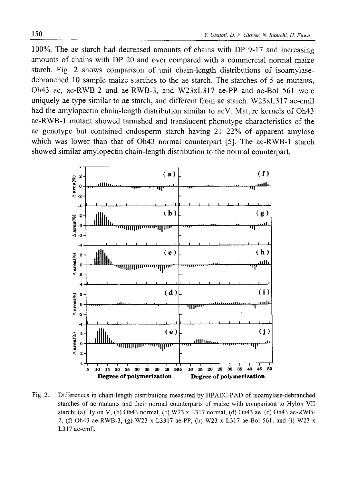100%. The ae starch had decreased amounts of chains with DP 9-17 and increasing amounts of chains with DP 20 and over compared with a commercial normal maize starch. Fig. 2 shows comparison of unit chain-length distributions of isoamylasedebranched 10 sample maize starches to the ae starch. The starches of 5 ae mutants, Oh43 ae, ae-RWB-2 and ae-RWB-3, and W23xL317 ae-PP and ae-Bol 561 were uniquely ae type similar to ae starch, and different from ae starch. W23xL317 ae-emll had the amylopectin chain-length distribution similar to aeV. Mature kernels of Oh43 ae-RWB-1 mutant showed tarnished and translucent phenotype characteristics of the ae genotype but contained endosperm starch having 21-22% of apparent amylose which was lower than that of Oh43 normal counterpart [5]. The ae-RWB-1 starch showed similar amylopectin chain-length distribution to the normal counterpart.



Fig. 2. Differences in chain-length distributions measured by HPAEC-PAD of isoamylase-debranched starches of ae mutants and their normal counterparts of maize with comparison to Hylon VII starch: (a) Hylon V, (b) Oh43 normal, (c) W23 x L317 normal, (d) Oh43 ae, (e) Oh43 ae-RWB-2, (f) Oh43 ae-RWB-3, (g) W23 x L3317 ae-PP, (h) W23 x L317 ae-Bol 561, and (i) W23 x L317 ae-emll.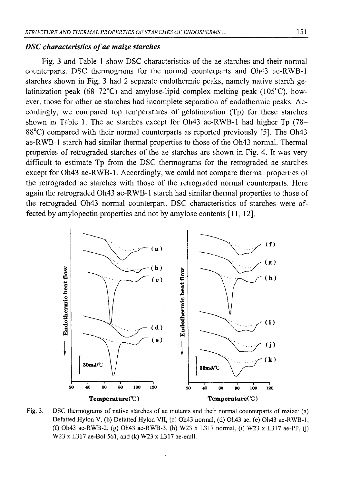### *DSC characteristics of ae maize starches*

Fig. 3 and Table 1 show DSC characteristics of the ae starches and their normal counterparts. DSC thermograms for the normal counterparts and Oh43 ae-RWB-1 starches shown in Fig. 3 had 2 separate endothermic peaks, namely native starch gelatinization peak (68-72 $^{\circ}$ C) and amylose-lipid complex melting peak (105 $^{\circ}$ C), however, those for other ae starches had incomplete separation of endothermic peaks. Accordingly, we compared top temperatures of gelatinization (Tp) for these starches shown in Table 1. The ae starches except for Oh43 ae-RWB-1 had higher Tp (78- 88°C) compared with their normal counterparts as reported previously [5]. The Oh43 ae-RWB-1 starch had similar thermal properties to those of the Oh43 normal. Thermal properties of retrograded starches of the ae starches are shown in Fig. 4. It was very difficult to estimate Tp from the DSC thermograms for the retrograded ae starches except for Oh43 ae-RWB-1. Accordingly, we could not compare thermal properties of the retrograded ae starches with those of the retrograded normal counterparts. Here again the retrograded Oh43 ae-RWB-1 starch had similar thermal properties to those of the retrograded Oh43 normal counterpart. DSC characteristics of starches were affected by amylopectin properties and not by amylose contents [11, 12].



Fig. 3. DSC thermograms of native starches of ae mutants and their normal counterparts of maize: (a) Defatted Hylon V, (b) Defatted Hylon VII, (c) Oh43 normal, (d) Oh43 ae, (e) Oh43 ae-RWB-1, (f) Oh43 ae-RWB-2, (g) Oh43 ae-RWB-3, (h) W23 x L317 normal, (i) W23 x L317 ae-PP, (j) W23 x L317 ae-Bol 561, and (k) W23 x L317 ae-emll.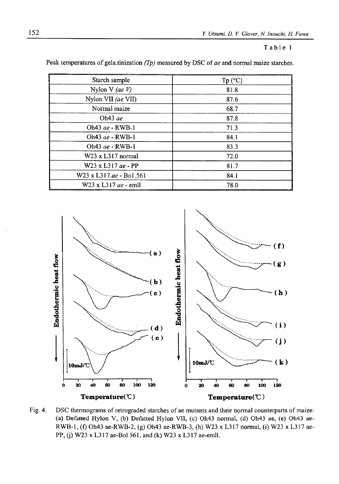#### Table 1

| Starch sample           | Tp (°C) |
|-------------------------|---------|
| Nylon V (ae $V$ )       | 81.8    |
| Nylon VII (ae VII)      | 87.6    |
| Normal maize            | 68.7    |
| Oh43 $ae$               | 87.8    |
| Oh43 ae - RWB-1         | 71.3    |
| Oh43 ae - RWB-1         | 84.1    |
| Oh43 ae - RWB-1         | 83.3    |
| W23 x L317 normal       | 72.0    |
| W23 x L317 ae - PP      | 81.7    |
| W23 x L317.ae - Bo1.561 | 84.1    |
| W23 x L317 ae - emll    | 78.0    |

Peak temperatures of gela.tinization *(Tp)* measured by DSC of *ae* and normal maize starches.



Fig. 4. DSC thermograms of retrograded starches of ae mutants and their normal counterparts of maize: (a) Defatted Hylon V, (b) Defatted Hylon VII, (c) Oh43 normal, (d) Oh43 ae, (e) Oh43 ae-RWB-1, (f) Oh43 ae-RWB-2, (g) Oh43 ae-RWB-3, (h) W23 x L317 normal, (i) W23 x L317 ae-PP, (j) W23 x L317 ae-Bol 561, and (k) W23 x L317 ae-emll.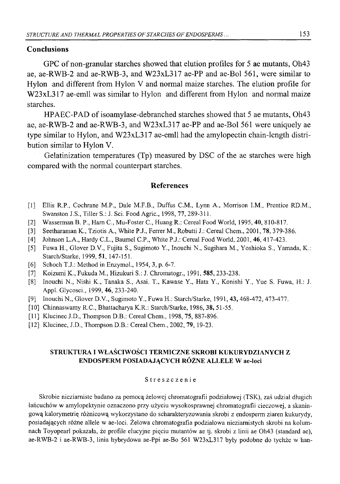# **Conclusions**

GPC of non-granular starches showed that elution profiles for 5 ae mutants, Oh43 ae, ae-RWB-2 and ae-RWB-3, and W23xL317 ae-PP and ae-Bol 561, were similar to Hylon and different from Hylon V and normal maize starches. The elution profile for W23xL317 ae-emll was similar to Hylon and different from Hylon and normal maize starches.

HPAEC-PAD of isoamylase-debranched starches showed that 5 ae mutants, Oh43 ae, ae-RWB-2 and ae-RWB-3, and W23xL317 ae-PP and ae-Bol 561 were uniquely ae type similar to Hylon, and W23xL317 ae-emll had the amylopectin chain-length distribution similar to Hylon V.

Gelatinization temperatures (Tp) measured by DSC of the ae starches were high compared with the normal counterpart starches.

### **References**

- [1] Ellis R.P., Cochrane M.P., Dale M.F.B., Duffus C.M., Lynn A., Morrison I.M., Prentice RD.M., Swanston J.S., Tiller S.: J. Sci. Food Agric., 1998, 77, 289-311.
- [2] Wasserman B. P., Ham C., Mu-Foster C., Huang R.: Cereal Food World, 1995, **40,** 810-817.
- [3] Seetharaman K., Tziotis A., White P.J., Ferrer M., Robutti J.: Cereal Chem., 2001, **78,** 379-386.
- [4] Johnson L.A., Hardy C.L., Baumel C.P., White P.J.: Cereal Food World, 2001, **46,**417-423.
- [5] Fuwa H., Glover D.V., Fujita S., Sugimoto Y., Inouchi N., Sugihara M., Yoshioka S., Yamada, K.: Starch/Starke, 1999, 51, 147-151.
- [6] Schoch T.J.: Method in Enzymol., 1954, **3,** p. 6-7.
- [7] Koizumi K., Fukuda M., Hizukuri S.: J. Chromatogr., 1991, **585,** 233-238.
- [8] Inouchi N., Nishi K., Tanaka S., Asai. T., Kawase Y., Hata Y., Konishi Y., Yue S. Fuwa, H.: J. Appl. Glycosci., 1999, **46,** 233-240.
- [9] Inouchi N., Glover D.V., Sugimoto Y., Fuwa H.: Starch/Starke, 1991, **43,**468-472, 473-477.
- [10] Chinnaswamy R.C., Bhattacharya K.R.: Starch/Starke, 1986, 38, 51-55.
- [11] Klucinec J.D., Thompson D.B.: Cereal Chem., 1998, **75**, 887-896.
- [12] Klucinec, J.D., Thompson D.B.: Cereal Chem., 2002, **79,** 19-23.

# **STRUKTURA I WŁAŚCIWOŚCI TERMICZNE SKROBI KUKURYDZIANYCH Z ENDOSPERM POSIADAJĄCYCH RÓŻNE ALLELE W ae-loci**

#### Streszczenie

Skrobie nieziamiste badano za pomocą żelowej chromatografii podziałowej (TSK), zaś udział długich łańcuchów w amylopektynie oznaczono przy-użyciu wysokosprawnej chromatografii cieczowej, a skaningową kalorymetrię różnicową wykorzystano do scharakteryzowania skrobi z endosperm ziaren kukurydy, posiadających różne allele w ae-loci. Żelowa chromatografia podziałowa nieziamistych skrobi na kolumnach Toyopearl pokazała, że profile elucyjne pięciu mutantów ae tj. skrobi z linii ae Oh43 (standard ae), ae-RWB-2 i ae-RWB-3, linia hybrydowa ae-Ppi ae-Bo 561 W23xL317 były podobne do tychże w han